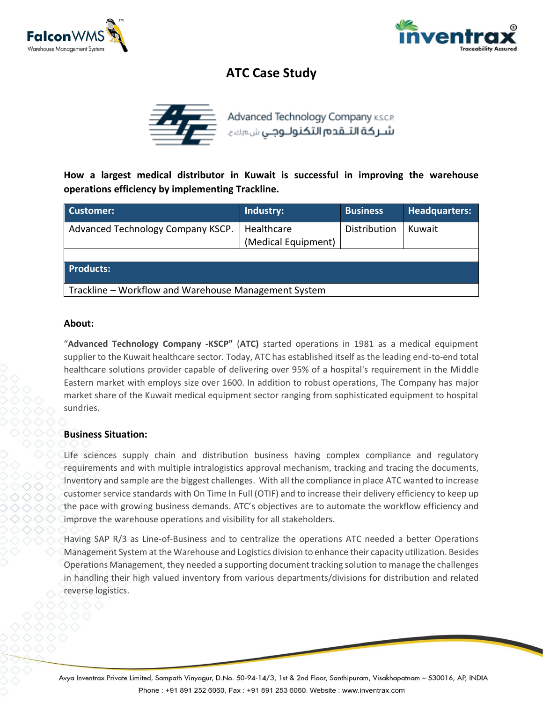



# **ATC Case Study**



**How a largest medical distributor in Kuwait is successful in improving the warehouse operations efficiency by implementing Trackline.**

| Customer:                                            | Industry:                         | <b>Business</b> | <b>Headquarters:</b> |
|------------------------------------------------------|-----------------------------------|-----------------|----------------------|
| Advanced Technology Company KSCP.                    | Healthcare<br>(Medical Equipment) | Distribution    | Kuwait               |
| <b>Products:</b>                                     |                                   |                 |                      |
| Trackline – Workflow and Warehouse Management System |                                   |                 |                      |

#### **About:**

"**Advanced Technology Company -KSCP"** (**ATC)** started operations in 1981 as a medical equipment supplier to the Kuwait healthcare sector. Today, ATC has established itself as the leading end-to-end total healthcare solutions provider capable of delivering over 95% of a hospital's requirement in the Middle Eastern market with employs size over 1600. In addition to robust operations, The Company has major market share of the Kuwait medical equipment sector ranging from sophisticated equipment to hospital sundries.

#### **Business Situation:**

Life sciences supply chain and distribution business having complex compliance and regulatory requirements and with multiple intralogistics approval mechanism, tracking and tracing the documents, Inventory and sample are the biggest challenges. With all the compliance in place ATC wanted to increase customer service standards with On Time In Full (OTIF) and to increase their delivery efficiency to keep up the pace with growing business demands. ATC's objectives are to automate the workflow efficiency and improve the warehouse operations and visibility for all stakeholders.

Having SAP R/3 as Line-of-Business and to centralize the operations ATC needed a better Operations Management System at the Warehouse and Logistics division to enhance their capacity utilization. Besides Operations Management, they needed a supporting document tracking solution to manage the challenges in handling their high valued inventory from various departments/divisions for distribution and related reverse logistics.

Avya Inventrax Private Limited, Sampath Vinyagur, D.No. 50-94-14/3, 1st & 2nd Floor, Santhipuram, Visakhapatnam – 530016, AP, INDIA Phone: +91 891 252 6060, Fax: +91 891 253 6060. Website: www.inventrax.com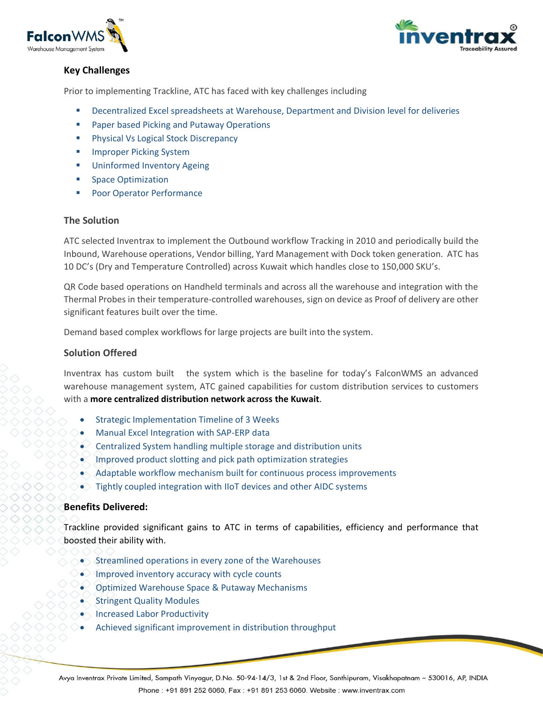



## **Key Challenges**

Prior to implementing Trackline, ATC has faced with key challenges including

- Decentralized Excel spreadsheets at Warehouse, Department and Division level for deliveries
- Paper based Picking and Putaway Operations
- Physical Vs Logical Stock Discrepancy
- **Improper Picking System**
- **Uninformed Inventory Ageing**
- **Space Optimization**
- Poor Operator Performance

#### **The Solution**

ATC selected Inventrax to implement the Outbound workflow Tracking in 2010 and periodically build the Inbound, Warehouse operations, Vendor billing, Yard Management with Dock token generation. ATC has 10 DC's (Dry and Temperature Controlled) across Kuwait which handles close to 150,000 SKU's.

QR Code based operations on Handheld terminals and across all the warehouse and integration with the Thermal Probes in their temperature-controlled warehouses, sign on device as Proof of delivery are other significant features built over the time.

Demand based complex workflows for large projects are built into the system.

### **Solution Offered**

Inventrax has custom built the system which is the baseline for today's FalconWMS an advanced warehouse management system, ATC gained capabilities for custom distribution services to customers with a **more centralized distribution network across the Kuwait**.

- Strategic Implementation Timeline of 3 Weeks
- Manual Excel Integration with SAP-ERP data
- Centralized System handling multiple storage and distribution units
- Improved product slotting and pick path optimization strategies
- Adaptable workflow mechanism built for continuous process improvements
- $\bullet$  Tightly coupled integration with IIoT devices and other AIDC systems

#### **Benefits Delivered:**

Trackline provided significant gains to ATC in terms of capabilities, efficiency and performance that boosted their ability with.

- Streamlined operations in every zone of the Warehouses
- Improved inventory accuracy with cycle counts
- Optimized Warehouse Space & Putaway Mechanisms
- **Stringent Quality Modules**
- Increased Labor Productivity
- Achieved significant improvement in distribution throughput

Avya Inventrax Private Limited, Sampath Vinyagur, D.No. 50-94-14/3, 1st & 2nd Floor, Santhipuram, Visakhapatnam - 530016, AP, INDIA Phone: +91 891 252 6060, Fax: +91 891 253 6060, Website: www.inventrax.com